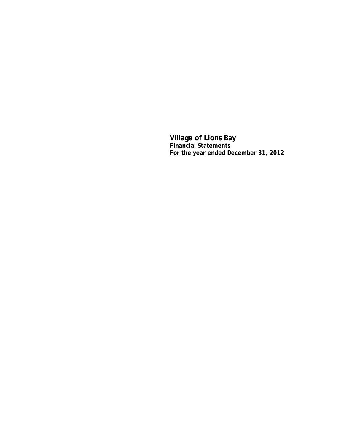**Village of Lions Bay Financial Statements For the year ended December 31, 2012**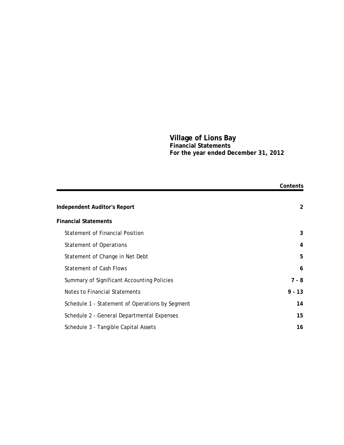## **Village of Lions Bay Financial Statements For the year ended December 31, 2012**

|                                                 | Contents       |
|-------------------------------------------------|----------------|
|                                                 |                |
| <b>Independent Auditor's Report</b>             | $\overline{2}$ |
| <b>Financial Statements</b>                     |                |
| <b>Statement of Financial Position</b>          | 3              |
| <b>Statement of Operations</b>                  | 4              |
| Statement of Change in Net Debt                 | 5              |
| <b>Statement of Cash Flows</b>                  | 6              |
| Summary of Significant Accounting Policies      | $7 - 8$        |
| Notes to Financial Statements                   | $9 - 13$       |
| Schedule 1 - Statement of Operations by Segment | 14             |
| Schedule 2 - General Departmental Expenses      | 15             |
| Schedule 3 - Tangible Capital Assets            | 16             |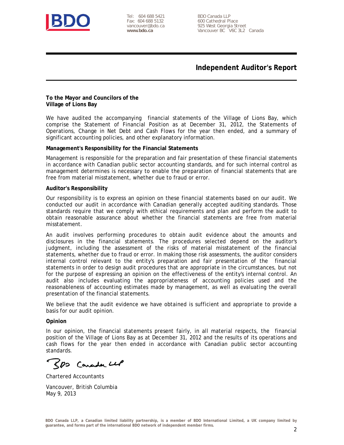

Tel: 604 688 5421 Fax: 604 688 5132 vancouver@bdo.ca **www.bdo.ca**

BDO Canada LLP 600 Cathedral Place 925 West Georgia Street Vancouver BC V6C 3L2 Canada

**Independent Auditor's Report**

### **To the Mayor and Councilors of the Village of Lions Bay**

We have audited the accompanying financial statements of the Village of Lions Bay, which comprise the Statement of Financial Position as at December 31, 2012, the Statements of Operations, Change in Net Debt and Cash Flows for the year then ended, and a summary of significant accounting policies, and other explanatory information.

## **Management's Responsibility for the Financial Statements**

Management is responsible for the preparation and fair presentation of these financial statements in accordance with Canadian public sector accounting standards, and for such internal control as management determines is necessary to enable the preparation of financial statements that are free from material misstatement, whether due to fraud or error.

#### **Auditor's Responsibility**

Our responsibility is to express an opinion on these financial statements based on our audit. We conducted our audit in accordance with Canadian generally accepted auditing standards. Those standards require that we comply with ethical requirements and plan and perform the audit to obtain reasonable assurance about whether the financial statements are free from material misstatement.

An audit involves performing procedures to obtain audit evidence about the amounts and disclosures in the financial statements. The procedures selected depend on the auditor's judgment, including the assessment of the risks of material misstatement of the financial statements, whether due to fraud or error. In making those risk assessments, the auditor considers internal control relevant to the entity's preparation and fair presentation of the financial statements in order to design audit procedures that are appropriate in the circumstances, but not for the purpose of expressing an opinion on the effectiveness of the entity's internal control. An audit also includes evaluating the appropriateness of accounting policies used and the reasonableness of accounting estimates made by management, as well as evaluating the overall presentation of the financial statements.

We believe that the audit evidence we have obtained is sufficient and appropriate to provide a basis for our audit opinion.

#### **Opinion**

In our opinion, the financial statements present fairly, in all material respects, the financial position of the Village of Lions Bay as at December 31, 2012 and the results of its operations and cash flows for the year then ended in accordance with Canadian public sector accounting standards.

SPS Canada LLP

Chartered Accountants

Vancouver, British Columbia May 9, 2013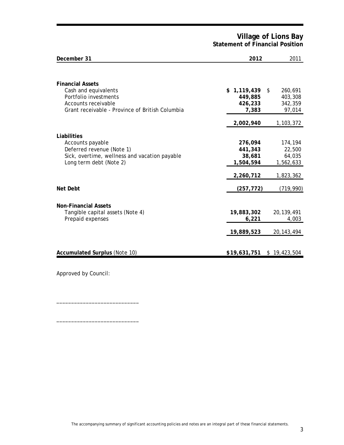# **Village of Lions Bay Statement of Financial Position**

| December 31                                                            | 2012             | 2011              |
|------------------------------------------------------------------------|------------------|-------------------|
|                                                                        |                  |                   |
| <b>Financial Assets</b>                                                |                  |                   |
| Cash and equivalents                                                   | \$1,119,439      | 260,691<br>\$     |
| Portfolio investments                                                  | 449,885          | 403,308           |
| Accounts receivable<br>Grant receivable - Province of British Columbia | 426,233<br>7,383 | 342,359<br>97,014 |
|                                                                        |                  |                   |
|                                                                        | 2,002,940        | 1,103,372         |
| Liabilities                                                            |                  |                   |
| Accounts payable                                                       | 276,094          | 174,194           |
| Deferred revenue (Note 1)                                              | 441,343          | 22,500            |
| Sick, overtime, wellness and vacation payable                          | 38,681           | 64,035            |
| Long term debt (Note 2)                                                | 1,504,594        | 1,562,633         |
|                                                                        | 2,260,712        | 1,823,362         |
| Net Debt                                                               | (257, 772)       | (719, 990)        |
|                                                                        |                  |                   |
| <b>Non-Financial Assets</b>                                            |                  |                   |
| Tangible capital assets (Note 4)                                       | 19,883,302       | 20,139,491        |
| Prepaid expenses                                                       | 6,221            | 4,003             |
|                                                                        | 19,889,523       | 20, 143, 494      |
|                                                                        |                  |                   |
| <b>Accumulated Surplus (Note 10)</b>                                   | \$19,631,751     | \$19,423,504      |

Approved by Council:

\_\_\_\_\_\_\_\_\_\_\_\_\_\_\_\_\_\_\_\_\_\_\_\_\_\_\_\_

\_\_\_\_\_\_\_\_\_\_\_\_\_\_\_\_\_\_\_\_\_\_\_\_\_\_\_\_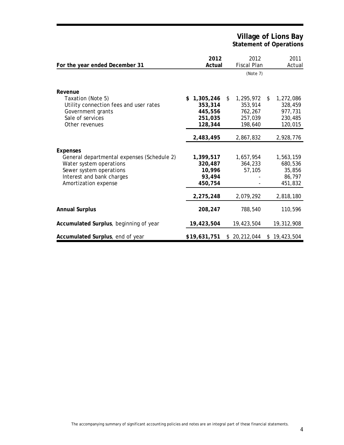# **Village of Lions Bay Statement of Operations**

| For the year ended December 31                                                                                                                                           | 2012<br>Actual                                          | 2012<br><b>Fiscal Plan</b>                                  | 2011<br>Actual                                              |
|--------------------------------------------------------------------------------------------------------------------------------------------------------------------------|---------------------------------------------------------|-------------------------------------------------------------|-------------------------------------------------------------|
|                                                                                                                                                                          |                                                         | (Note 7)                                                    |                                                             |
| Revenue                                                                                                                                                                  |                                                         |                                                             |                                                             |
| Taxation (Note 5)<br>Utility connection fees and user rates<br>Government grants<br>Sale of services<br>Other revenues                                                   | \$1,305,246<br>353,314<br>445,556<br>251,035<br>128,344 | 1,295,972<br>\$<br>353,914<br>762,267<br>257,039<br>198,640 | 1,272,086<br>\$<br>328,459<br>977,731<br>230,485<br>120,015 |
|                                                                                                                                                                          | 2,483,495                                               | 2,867,832                                                   | 2,928,776                                                   |
| <b>Expenses</b><br>General departmental expenses (Schedule 2)<br>Water system operations<br>Sewer system operations<br>Interest and bank charges<br>Amortization expense | 1,399,517<br>320,487<br>10,996<br>93,494<br>450,754     | 1,657,954<br>364,233<br>57,105                              | 1,563,159<br>680,536<br>35,856<br>86,797<br>451,832         |
|                                                                                                                                                                          | 2,275,248                                               | 2,079,292                                                   | 2,818,180                                                   |
| <b>Annual Surplus</b>                                                                                                                                                    | 208,247                                                 | 788,540                                                     | 110,596                                                     |
| Accumulated Surplus, beginning of year                                                                                                                                   | 19,423,504                                              | 19,423,504                                                  | 19,312,908                                                  |
| Accumulated Surplus, end of year                                                                                                                                         | \$19,631,751                                            | 20,212,044<br>\$                                            | \$19,423,504                                                |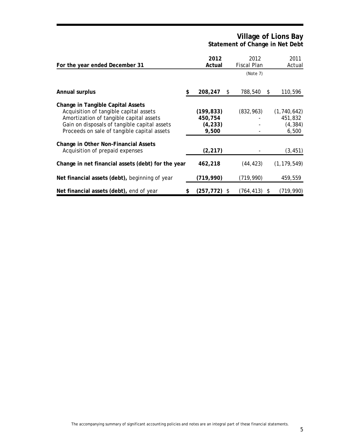# **Village of Lions Bay Statement of Change in Net Debt**

| For the year ended December 31                                                                                                                                                                                        |    | 2012<br>Actual                             | 2012<br><b>Fiscal Plan</b> |      | 2011<br>Actual                                |
|-----------------------------------------------------------------------------------------------------------------------------------------------------------------------------------------------------------------------|----|--------------------------------------------|----------------------------|------|-----------------------------------------------|
|                                                                                                                                                                                                                       |    |                                            | (Note 7)                   |      |                                               |
| Annual surplus                                                                                                                                                                                                        | \$ | 208,247                                    | \$<br>788,540              | \$   | 110,596                                       |
| Change in Tangible Capital Assets<br>Acquisition of tangible capital assets<br>Amortization of tangible capital assets<br>Gain on disposals of tangible capital assets<br>Proceeds on sale of tangible capital assets |    | (199, 833)<br>450,754<br>(4, 233)<br>9,500 | (832, 963)                 |      | (1, 740, 642)<br>451,832<br>(4, 384)<br>6,500 |
| Change in Other Non-Financial Assets<br>Acquisition of prepaid expenses                                                                                                                                               |    | (2, 217)                                   |                            |      | (3, 451)                                      |
| Change in net financial assets (debt) for the year                                                                                                                                                                    |    | 462,218                                    | (44, 423)                  |      | (1, 179, 549)                                 |
| Net financial assets (debt), beginning of year                                                                                                                                                                        |    | (719, 990)                                 | (719, 990)                 |      | 459,559                                       |
| Net financial assets (debt), end of year                                                                                                                                                                              | S  | $(257, 772)$ \$                            | (764, 413)                 | - \$ | (719,990)                                     |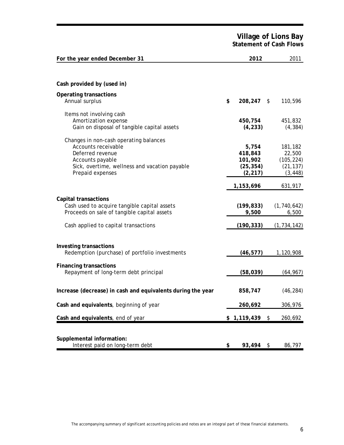**Village of Lions Bay Statement of Cash Flows**

| For the year ended December 31                                                                                                                                             | 2012                                                 | 2011                                                     |
|----------------------------------------------------------------------------------------------------------------------------------------------------------------------------|------------------------------------------------------|----------------------------------------------------------|
|                                                                                                                                                                            |                                                      |                                                          |
| Cash provided by (used in)                                                                                                                                                 |                                                      |                                                          |
| <b>Operating transactions</b><br>Annual surplus                                                                                                                            | \$<br>208,247                                        | \$<br>110,596                                            |
| Items not involving cash<br>Amortization expense<br>Gain on disposal of tangible capital assets                                                                            | 450,754<br>(4, 233)                                  | 451,832<br>(4, 384)                                      |
| Changes in non-cash operating balances<br>Accounts receivable<br>Deferred revenue<br>Accounts payable<br>Sick, overtime, wellness and vacation payable<br>Prepaid expenses | 5,754<br>418,843<br>101,902<br>(25, 354)<br>(2, 217) | 181,182<br>22,500<br>(105, 224)<br>(21, 137)<br>(3, 448) |
|                                                                                                                                                                            | 1,153,696                                            | 631,917                                                  |
| Capital transactions<br>Cash used to acquire tangible capital assets<br>Proceeds on sale of tangible capital assets                                                        | (199, 833)<br>9,500                                  | (1, 740, 642)<br>6,500                                   |
| Cash applied to capital transactions                                                                                                                                       | (190, 333)                                           | (1, 734, 142)                                            |
| Investing transactions<br>Redemption (purchase) of portfolio investments                                                                                                   | (46, 577)                                            | 1,120,908                                                |
| <b>Financing transactions</b><br>Repayment of long-term debt principal                                                                                                     | (58, 039)                                            | (64, 967)                                                |
| Increase (decrease) in cash and equivalents during the year                                                                                                                | 858,747                                              | (46, 284)                                                |
| Cash and equivalents, beginning of year                                                                                                                                    | 260,692                                              | 306,976                                                  |
| Cash and equivalents, end of year                                                                                                                                          | \$1,119,439                                          | \$<br>260,692                                            |
| Supplemental information:<br>Interest paid on long-term debt                                                                                                               | \$<br>93,494                                         | \$<br>86,797                                             |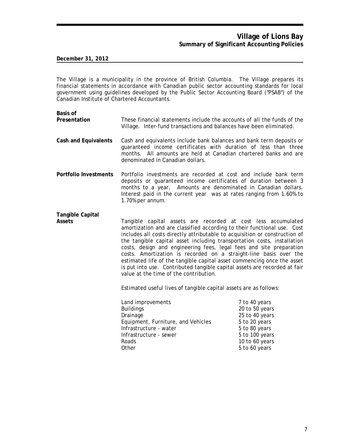# **Village of Lions Bay Summary of Significant Accounting Policies**

## **December 31, 2012**

The Village is a municipality in the province of British Columbia. The Village prepares its financial statements in accordance with Canadian public sector accounting standards for local government using guidelines developed by the Public Sector Accounting Board ("PSAB") of the Canadian Institute of Chartered Accountants.

| Basis of                          |                                                                                                                                                                                                                                                                                                         |                                              |
|-----------------------------------|---------------------------------------------------------------------------------------------------------------------------------------------------------------------------------------------------------------------------------------------------------------------------------------------------------|----------------------------------------------|
| Presentation                      | These financial statements include the accounts of all the funds of the<br>Village. Inter-fund transactions and balances have been eliminated.                                                                                                                                                          |                                              |
| Cash and Equivalents              | Cash and equivalents include bank balances and bank term deposits or<br>guaranteed income certificates with duration of less than three<br>months. All amounts are held at Canadian chartered banks and are<br>denominated in Canadian dollars.                                                         |                                              |
| <b>Portfolio Investments</b>      | Portfolio investments are recorded at cost and include bank term<br>deposits or guaranteed income certificates of duration between 3<br>months to a year.<br>Interest paid in the current year was at rates ranging from 1.60% to<br>1.70% per annum.                                                   | Amounts are denominated in Canadian dollars. |
| <b>Tangible Capital</b><br>Assets | Tangible capital assets are recorded at cost less accumulated                                                                                                                                                                                                                                           |                                              |
|                                   | amortization and are classified according to their functional use. Cost<br>includes all costs directly attributable to acquisition or construction of<br>the tangible capital asset including transportation costs, installation<br>costs, design and engineering fees, legal fees and site preparation |                                              |
|                                   | costs. Amortization is recorded on a straight-line basis over the<br>estimated life of the tangible capital asset commencing once the asset<br>is put into use. Contributed tangible capital assets are recorded at fair<br>value at the time of the contribution.                                      |                                              |
|                                   | Estimated useful lives of tangible capital assets are as follows:                                                                                                                                                                                                                                       |                                              |
|                                   | Land improvements<br><b>Buildings</b>                                                                                                                                                                                                                                                                   | 7 to 40 years<br>20 to 50 years              |
|                                   | Drainage                                                                                                                                                                                                                                                                                                | 25 to 40 years                               |
|                                   | Equipment, Furniture, and Vehicles                                                                                                                                                                                                                                                                      | 5 to 20 years                                |
|                                   | Infrastructure - water                                                                                                                                                                                                                                                                                  | 5 to 80 years                                |
|                                   | Infrastructure - sewer                                                                                                                                                                                                                                                                                  | 5 to 100 years                               |
|                                   | Roads                                                                                                                                                                                                                                                                                                   | 10 to 60 years                               |
|                                   | Other                                                                                                                                                                                                                                                                                                   | 5 to 60 years                                |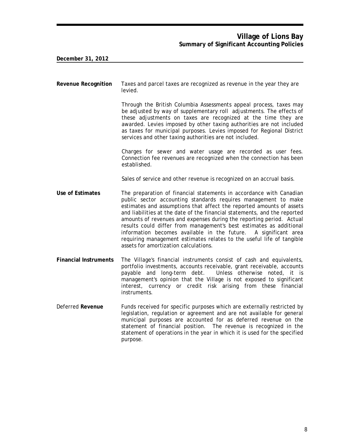# **Village of Lions Bay Summary of Significant Accounting Policies**

**December 31, 2012**

| <b>Revenue Recognition</b>   | Taxes and parcel taxes are recognized as revenue in the year they are<br>levied.                                                                                                                                                                                                                                                                                                                                                                                                                                                                                                                                               |
|------------------------------|--------------------------------------------------------------------------------------------------------------------------------------------------------------------------------------------------------------------------------------------------------------------------------------------------------------------------------------------------------------------------------------------------------------------------------------------------------------------------------------------------------------------------------------------------------------------------------------------------------------------------------|
|                              | Through the British Columbia Assessments appeal process, taxes may<br>be adjusted by way of supplementary roll adjustments. The effects of<br>these adjustments on taxes are recognized at the time they are<br>awarded. Levies imposed by other taxing authorities are not included<br>as taxes for municipal purposes. Levies imposed for Regional District<br>services and other taxing authorities are not included.                                                                                                                                                                                                       |
|                              | Charges for sewer and water usage are recorded as user fees.<br>Connection fee revenues are recognized when the connection has been<br>established.                                                                                                                                                                                                                                                                                                                                                                                                                                                                            |
|                              | Sales of service and other revenue is recognized on an accrual basis.                                                                                                                                                                                                                                                                                                                                                                                                                                                                                                                                                          |
| Use of Estimates             | The preparation of financial statements in accordance with Canadian<br>public sector accounting standards requires management to make<br>estimates and assumptions that affect the reported amounts of assets<br>and liabilities at the date of the financial statements, and the reported<br>amounts of revenues and expenses during the reporting period. Actual<br>results could differ from management's best estimates as additional<br>information becomes available in the future. A significant area<br>requiring management estimates relates to the useful life of tangible<br>assets for amortization calculations. |
| <b>Financial Instruments</b> | The Village's financial instruments consist of cash and equivalents,<br>portfolio investments, accounts receivable, grant receivable, accounts<br>payable and long-term debt.<br>Unless otherwise noted, it is<br>management's opinion that the Village is not exposed to significant<br>interest, currency or credit risk arising from these financial<br>instruments.                                                                                                                                                                                                                                                        |
| Deferred Revenue             | Funds received for specific purposes which are externally restricted by<br>legislation, regulation or agreement and are not available for general<br>municipal purposes are accounted for as deferred revenue on the<br>statement of financial position. The revenue is recognized in the<br>statement of operations in the year in which it is used for the specified<br>purpose.                                                                                                                                                                                                                                             |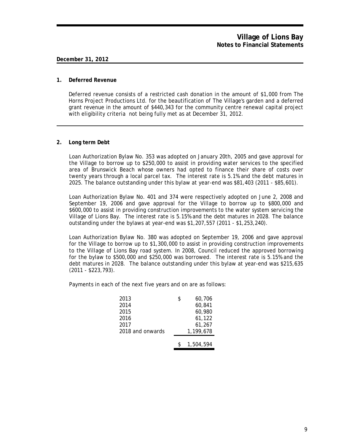### **1. Deferred Revenue**

Deferred revenue consists of a restricted cash donation in the amount of \$1,000 from The Horns Project Productions Ltd. for the beautification of The Village's garden and a deferred grant revenue in the amount of \$440,343 for the community centre renewal capital project with eligibility criteria not being fully met as at December 31, 2012.

## **2. Long term Debt**

Loan Authorization Bylaw No. 353 was adopted on January 20th, 2005 and gave approval for the Village to borrow up to \$250,000 to assist in providing water services to the specified area of Brunswick Beach whose owners had opted to finance their share of costs over twenty years through a local parcel tax. The interest rate is 5.1% and the debt matures in 2025. The balance outstanding under this bylaw at year-end was \$81,403 (2011 - \$85,601).

Loan Authorization Bylaw No. 401 and 374 were respectively adopted on June 2, 2008 and September 19, 2006 and gave approval for the Village to borrow up to \$800,000 and \$600,000 to assist in providing construction improvements to the water system servicing the Village of Lions Bay. The interest rate is 5.15% and the debt matures in 2028. The balance outstanding under the bylaws at year-end was \$1,207,557 (2011 - \$1,253,240).

Loan Authorization Bylaw No. 380 was adopted on September 19, 2006 and gave approval for the Village to borrow up to \$1,300,000 to assist in providing construction improvements to the Village of Lions Bay road system. In 2008, Council reduced the approved borrowing for the bylaw to \$500,000 and \$250,000 was borrowed. The interest rate is 5.15% and the debt matures in 2028. The balance outstanding under this bylaw at year-end was \$215,635 (2011 - \$223,793).

Payments in each of the next five years and on are as follows:

| 2013             | \$<br>60,706    |
|------------------|-----------------|
| 2014             | 60,841          |
| 2015             | 60,980          |
| 2016             | 61,122          |
| 2017             | 61,267          |
| 2018 and onwards | 1,199,678       |
|                  |                 |
|                  | \$<br>1,504,594 |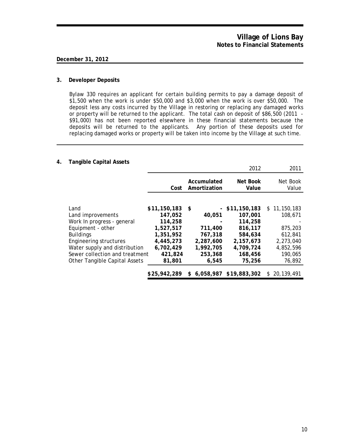## **3. Developer Deposits**

Bylaw 330 requires an applicant for certain building permits to pay a damage deposit of \$1,500 when the work is under \$50,000 and \$3,000 when the work is over \$50,000. The deposit less any costs incurred by the Village in restoring or replacing any damaged works or property will be returned to the applicant. The total cash on deposit of \$86,500 (2011 - \$91,000) has not been reported elsewhere in these financial statements because the deposits will be returned to the applicants. Any portion of these deposits used for replacing damaged works or property will be taken into income by the Village at such time.

## **4. Tangible Capital Assets**

|                                      |              |                             | 2012              | 2011              |
|--------------------------------------|--------------|-----------------------------|-------------------|-------------------|
|                                      | Cost         | Accumulated<br>Amortization | Net Book<br>Value | Net Book<br>Value |
|                                      |              |                             |                   |                   |
| Land                                 | \$11,150,183 | \$                          | $-$ \$11,150,183  | 11,150,183<br>\$  |
| Land improvements                    | 147,052      | 40,051                      | 107.001           | 108,671           |
| Work In progress - general           | 114,258      |                             | 114,258           |                   |
| Equipment - other                    | 1,527,517    | 711,400                     | 816,117           | 875,203           |
| <b>Buildings</b>                     | 1,351,952    | 767,318                     | 584,634           | 612,841           |
| <b>Engineering structures</b>        | 4,445,273    | 2,287,600                   | 2, 157, 673       | 2,273,040         |
| Water supply and distribution        | 6.702.429    | 1,992,705                   | 4,709,724         | 4.852.596         |
| Sewer collection and treatment       | 421,824      | 253,368                     | 168,456           | 190,065           |
| <b>Other Tangible Capital Assets</b> | 81,801       | 6,545                       | 75,256            | 76,892            |
|                                      | \$25,942,289 | 6,058,987<br>\$             | \$19,883,302      | 20,139,491<br>\$. |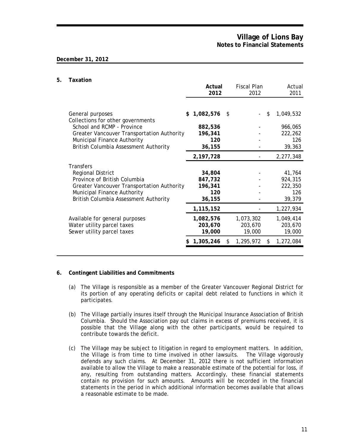#### **5. Taxation**

|                                                                                            | Actual<br>2012                 | <b>Fiscal Plan</b><br>2012     |    | Actual<br>2011                 |
|--------------------------------------------------------------------------------------------|--------------------------------|--------------------------------|----|--------------------------------|
| General purposes<br>Collections for other governments                                      | 1,082,576                      | \$                             | \$ | 1,049,532                      |
| School and RCMP - Province                                                                 | 882,536                        |                                |    | 966,065                        |
| Greater Vancouver Transportation Authority                                                 | 196,341                        |                                |    | 222,262                        |
| Municipal Finance Authority                                                                | 120                            |                                |    | 126                            |
| British Columbia Assessment Authority                                                      | 36,155                         |                                |    | 39,363                         |
|                                                                                            | 2, 197, 728                    |                                |    | 2,277,348                      |
| <b>Transfers</b>                                                                           |                                |                                |    |                                |
| <b>Regional District</b>                                                                   | 34,804                         |                                |    | 41,764                         |
| Province of British Columbia                                                               | 847,732                        |                                |    | 924,315                        |
| Greater Vancouver Transportation Authority                                                 | 196,341                        |                                |    | 222,350                        |
| Municipal Finance Authority                                                                | 120                            |                                |    | 126                            |
| British Columbia Assessment Authority                                                      | 36,155                         |                                |    | 39,379                         |
|                                                                                            | 1,115,152                      |                                |    | 1,227,934                      |
| Available for general purposes<br>Water utility parcel taxes<br>Sewer utility parcel taxes | 1,082,576<br>203,670<br>19,000 | 1,073,302<br>203,670<br>19,000 |    | 1,049,414<br>203,670<br>19,000 |
|                                                                                            | 1,305,246                      | \$<br>1,295,972                | S  | 1,272,084                      |

#### **6. Contingent Liabilities and Commitments**

- (a) The Village is responsible as a member of the Greater Vancouver Regional District for its portion of any operating deficits or capital debt related to functions in which it participates.
- (b) The Village partially insures itself through the Municipal Insurance Association of British Columbia. Should the Association pay out claims in excess of premiums received, it is possible that the Village along with the other participants, would be required to contribute towards the deficit.
- (c) The Village may be subject to litigation in regard to employment matters. In addition, the Village is from time to time involved in other lawsuits. The Village vigorously defends any such claims. At December 31, 2012 there is not sufficient information available to allow the Village to make a reasonable estimate of the potential for loss, if any, resulting from outstanding matters. Accordingly, these financial statements contain no provision for such amounts. Amounts will be recorded in the financial statements in the period in which additional information becomes available that allows a reasonable estimate to be made.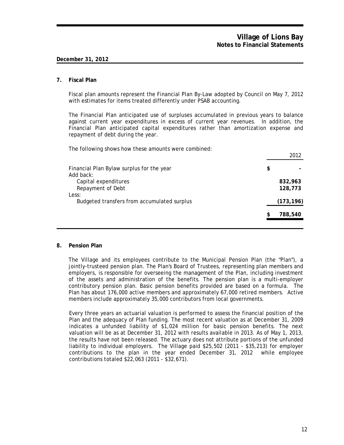# **Village of Lions Bay Notes to Financial Statements**

 $2012$ 

### **December 31, 2012**

## **7. Fiscal Plan**

Fiscal plan amounts represent the Financial Plan By-Law adopted by Council on May 7, 2012 with estimates for items treated differently under PSAB accounting.

The Financial Plan anticipated use of surpluses accumulated in previous years to balance against current year expenditures in excess of current year revenues. In addition, the Financial Plan anticipated capital expenditures rather than amortization expense and repayment of debt during the year.

The following shows how these amounts were combined:

| 20 D       |
|------------|
| \$         |
|            |
| 832,963    |
| 128,773    |
|            |
| (173, 196) |
| 788,540    |
|            |

#### **8. Pension Plan**

The Village and its employees contribute to the Municipal Pension Plan (the "Plan"), a jointly-trusteed pension plan. The Plan's Board of Trustees, representing plan members and employers, is responsible for overseeing the management of the Plan, including investment of the assets and administration of the benefits. The pension plan is a multi-employer contributory pension plan. Basic pension benefits provided are based on a formula. The Plan has about 176,000 active members and approximately 67,000 retired members. Active members include approximately 35,000 contributors from local governments.

Every three years an actuarial valuation is performed to assess the financial position of the Plan and the adequacy of Plan funding. The most recent valuation as at December 31, 2009 indicates a unfunded liability of \$1,024 million for basic pension benefits. The next valuation will be as at December 31, 2012 with results available in 2013. As of May 1, 2013, the results have not been released. The actuary does not attribute portions of the unfunded liability to individual employers. The Village paid \$25,502 (2011 - \$35,213) for employer contributions to the plan in the year ended December 31, 2012 while employee contributions totaled \$22,063 (2011 - \$32,671).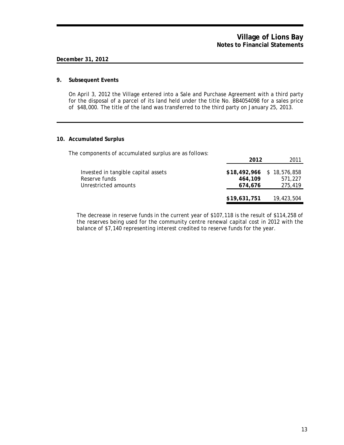## **9. Subsequent Events**

On April 3, 2012 the Village entered into a Sale and Purchase Agreement with a third party for the disposal of a parcel of its land held under the title No. BB4054098 for a sales price of \$48,000. The title of the land was transferred to the third party on January 25, 2013.

## **10. Accumulated Surplus**

The components of accumulated surplus are as follows:

|                                                                              | 2012                                              | 2011               |
|------------------------------------------------------------------------------|---------------------------------------------------|--------------------|
| Invested in tangible capital assets<br>Reserve funds<br>Unrestricted amounts | $$18,492,966$ $$18,576,858$<br>464,109<br>674.676 | 571,227<br>275,419 |
|                                                                              | \$19,631,751                                      | 19,423,504         |

The decrease in reserve funds in the current year of \$107,118 is the result of \$114,258 of the reserves being used for the community centre renewal capital cost in 2012 with the balance of \$7,140 representing interest credited to reserve funds for the year.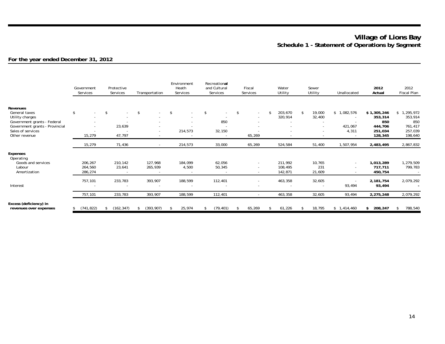## **Village of Lions Bay Schedule 1 - Statement of Operations by Segment**

# **For the year ended December 31, 2012**

|                                                                                                                                                     | Government<br>Services |                               | Protective<br>Services |                                              | Transportation |                                                      | Environment<br>Heath<br>Services |                                     | Recreational<br>and Cultural<br>Services |                                           | Fiscal<br>Services |                                                                                            | Water<br>Utility |                               | Sewer<br>Utility |                         | Unallocated                                          | 2012<br>Actual                                                 | 2012<br>Fiscal Plan                                                |
|-----------------------------------------------------------------------------------------------------------------------------------------------------|------------------------|-------------------------------|------------------------|----------------------------------------------|----------------|------------------------------------------------------|----------------------------------|-------------------------------------|------------------------------------------|-------------------------------------------|--------------------|--------------------------------------------------------------------------------------------|------------------|-------------------------------|------------------|-------------------------|------------------------------------------------------|----------------------------------------------------------------|--------------------------------------------------------------------|
| Revenues<br>General taxes<br>Utility charges<br>Government grants - Federal<br>Government grants - Provincial<br>Sales of services<br>Other revenue | \$                     | 15,279                        | -S                     | $\overline{\phantom{a}}$<br>23,639<br>47,797 | \$             | $\sim$<br>$\overline{\phantom{a}}$<br>$\overline{a}$ | \$                               | $\overline{\phantom{a}}$<br>214,573 | $\mathbf{\hat{S}}$                       | $\overline{\phantom{a}}$<br>850<br>32,150 | <sup>\$</sup>      | $\overline{\phantom{a}}$<br>$\overline{\phantom{a}}$<br>$\overline{\phantom{a}}$<br>65,269 |                  | 203,670<br>320,914            | \$               | 19,000<br>32,400        | \$1,082,576<br>421,067<br>4,311                      | \$1,305,246<br>353,314<br>850<br>444,706<br>251,034<br>128,345 | 1,295,972<br>\$<br>353,914<br>850<br>761,417<br>257,039<br>198,640 |
|                                                                                                                                                     |                        | 15,279                        |                        | 71,436                                       |                | $\overline{\phantom{a}}$                             |                                  | 214,573                             |                                          | 33,000                                    |                    | 65,269                                                                                     |                  | 524,584                       |                  | 51,400                  | 1,507,954                                            | 2,483,495                                                      | 2,867,832                                                          |
| Expenses<br>Operating<br>Goods and services<br>Labour<br>Amortization                                                                               |                        | 206,267<br>264,560<br>286,274 |                        | 210,142<br>23,641                            |                | 127,968<br>265,939                                   |                                  | 184,099<br>4,500                    |                                          | 62,056<br>50,345                          |                    | $\overline{\phantom{a}}$<br>$\overline{\phantom{a}}$                                       |                  | 211,992<br>108,495<br>142,871 |                  | 10,765<br>231<br>21,609 | $\overline{\phantom{a}}$<br>$\overline{\phantom{a}}$ | 1,013,289<br>717,711<br>450,754                                | 1,279,509<br>799,783<br>$\overline{\phantom{a}}$                   |
| Interest                                                                                                                                            |                        | 757,101                       |                        | 233,783                                      |                | 393,907                                              |                                  | 188,599                             |                                          | 112,401                                   |                    | $\overline{\phantom{a}}$                                                                   |                  | 463,358                       |                  | 32,605                  | 93,494                                               | 2,181,754<br>93,494                                            | 2,079,292                                                          |
| Excess (deficiency) in<br>revenues over expenses                                                                                                    | \$                     | 757,101<br>(741, 822)         |                        | 233,783<br>(162, 347)                        |                | 393,907<br>(393, 907)                                | -S                               | 188,599<br>25,974                   | \$                                       | 112,401<br>(79, 401)                      |                    | $\overline{\phantom{a}}$<br>65,269                                                         | \$               | 463,358<br>61,226             | \$               | 32,605<br>18,795        | 93,494<br>\$1,414,460                                | 2,275,248<br>208,247<br>\$                                     | 2,079,292<br>788,540<br>\$                                         |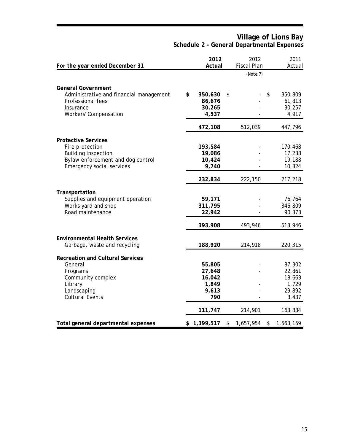# **Village of Lions Bay Schedule 2 - General Departmental Expenses**

| For the year ended December 31          | 2012<br>Actual | 2012<br><b>Fiscal Plan</b> | 2011<br>Actual  |
|-----------------------------------------|----------------|----------------------------|-----------------|
|                                         |                | (Note 7)                   |                 |
| <b>General Government</b>               |                |                            |                 |
| Administrative and financial management | \$<br>350,630  | \$                         | \$<br>350,809   |
| Professional fees                       | 86,676         |                            | 61,813          |
| Insurance                               | 30,265         |                            | 30,257          |
| <b>Workers' Compensation</b>            | 4,537          |                            | 4,917           |
|                                         | 472,108        | 512,039                    | 447,796         |
| <b>Protective Services</b>              |                |                            |                 |
| Fire protection                         | 193,584        |                            | 170,468         |
| <b>Building inspection</b>              | 19,086         |                            | 17,238          |
| Bylaw enforcement and dog control       | 10,424         |                            | 19,188          |
| <b>Emergency social services</b>        | 9,740          |                            | 10,324          |
|                                         | 232,834        | 222,150                    | 217,218         |
| Transportation                          |                |                            |                 |
| Supplies and equipment operation        | 59,171         |                            | 76,764          |
| Works yard and shop                     | 311,795        |                            | 346,809         |
| Road maintenance                        | 22,942         |                            | 90,373          |
|                                         | 393,908        | 493,946                    | 513,946         |
| <b>Environmental Health Services</b>    |                |                            |                 |
| Garbage, waste and recycling            | 188,920        | 214,918                    | 220,315         |
| <b>Recreation and Cultural Services</b> |                |                            |                 |
| General                                 | 55,805         |                            | 87,302          |
| Programs                                | 27,648         |                            | 22,861          |
| Community complex                       | 16,042         |                            | 18,663          |
| Library                                 | 1,849          |                            | 1,729           |
| Landscaping                             | 9,613          |                            | 29,892          |
| <b>Cultural Events</b>                  | 790            |                            | 3,437           |
|                                         | 111,747        | 214,901                    | 163,884         |
| Total general departmental expenses     | \$1,399,517    | \$<br>1,657,954            | \$<br>1,563,159 |